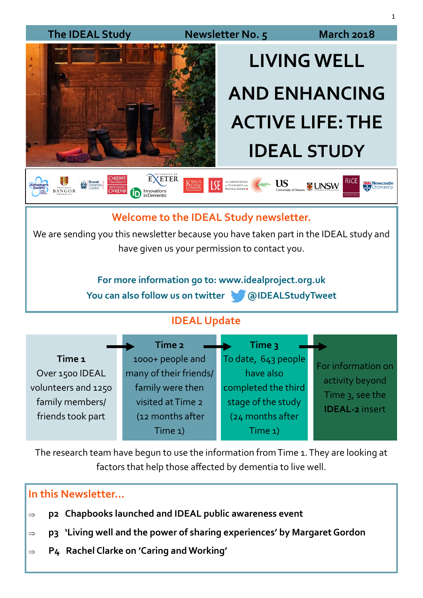1 **The IDEAL Study Newsletter No. 5 March 2018 LIVING WELL AND ENHANCING ACTIVE LIFE: THE IDEAL STUDY** EXETER **CANGERY JUSSET LINSW San Newcastle EXERCISE DE LONDON SCHOOL Brunel**<br>Universit **BANGOR** Innovations<br>in Dementia **Welcome to the IDEAL Study newsletter.** We are sending you this newsletter because you have taken part in the IDEAL study and have given us your permission to contact you. **For more information go to: www.idealproject.org.uk You can also follow us on twitter @IDEALStudyTweet IDEAL Update Time 2 Time 3 Time 1** 1000+ people and To date, 643 people For information on Over 1500 IDEAL many of their friends/ have also activity beyond volunteers and 1250 family were then completed the third Time 3, see the family members/ stage of the study visited at Time 2 **IDEAL-2** insert

The research team have begun to use the information from Time 1. They are looking at factors that help those affected by dementia to live well.

(24 months after

Time 1)

## **In this Newsletter...**

friends took part

**p2 Chapbooks launched and IDEAL public awareness event**

(12 months after

Time 1)

- **p3 'Living well and the power of sharing experiences' by Margaret Gordon**
- **P4 Rachel Clarke on 'Caring and Working'**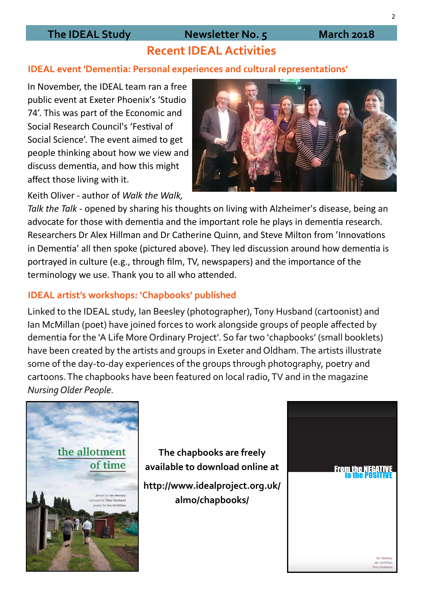# **Recent IDEAL Activities**

### **IDEAL event 'Dementia: Personal experiences and cultural representations'**

In November, the IDEAL team ran a free public event at Exeter Phoenix's 'Studio 74'. This was part of the Economic and Social Research Council's 'Festival of Social Science'. The event aimed to get people thinking about how we view and discuss dementia, and how this might affect those living with it.

Keith Oliver - author of *Walk the Walk,* 



*Talk the Talk -* opened by sharing his thoughts on living with Alzheimer's disease, being an advocate for those with dementia and the important role he plays in dementia research. Researchers Dr Alex Hillman and Dr Catherine Quinn, and Steve Milton from 'Innovations in Dementia' all then spoke (pictured above). They led discussion around how dementia is portrayed in culture (e.g., through film, TV, newspapers) and the importance of the terminology we use. Thank you to all who attended.

### **IDEAL artist's workshops: 'Chapbooks' published**

Linked to the IDEAL study, Ian Beesley (photographer), Tony Husband (cartoonist) and Ian McMillan (poet) have joined forces to work alongside groups of people affected by dementia for the 'A Life More Ordinary Project'. So far two 'chapbooks' (small booklets) have been created by the artists and groups in Exeter and Oldham. The artists illustrate some of the day-to-day experiences of the groups through photography, poetry and cartoons. The chapbooks have been featured on local radio, TV and in the magazine *Nursing Older People*.



**The chapbooks are freely available to download online at http://www.idealproject.org.uk/ almo/chapbooks/**

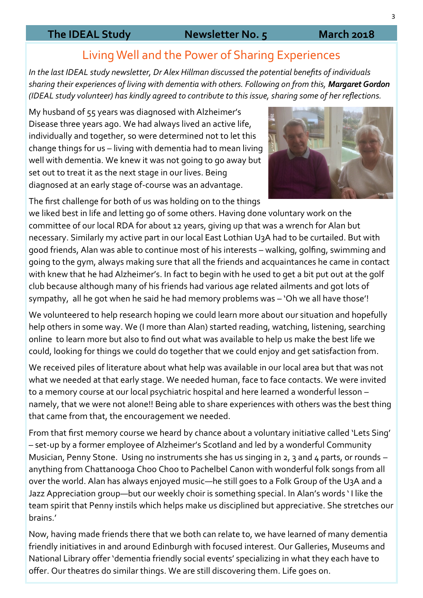# Living Well and the Power of Sharing Experiences

*In the last IDEAL study newsletter, Dr Alex Hillman discussed the potential benefits of individuals sharing their experiences of living with dementia with others. Following on from this, Margaret Gordon (IDEAL study volunteer) has kindly agreed to contribute to this issue, sharing some of her reflections.* 

My husband of 55 years was diagnosed with Alzheimer's Disease three years ago. We had always lived an active life, individually and together, so were determined not to let this change things for us – living with dementia had to mean living well with dementia. We knew it was not going to go away but set out to treat it as the next stage in our lives. Being diagnosed at an early stage of-course was an advantage.



The first challenge for both of us was holding on to the things we liked best in life and letting go of some others. Having done voluntary work on the committee of our local RDA for about 12 years, giving up that was a wrench for Alan but necessary. Similarly my active part in our local East Lothian U3A had to be curtailed. But with good friends, Alan was able to continue most of his interests – walking, golfing, swimming and going to the gym, always making sure that all the friends and acquaintances he came in contact with knew that he had Alzheimer's. In fact to begin with he used to get a bit put out at the golf club because although many of his friends had various age related ailments and got lots of sympathy, all he got when he said he had memory problems was – 'Oh we all have those'!

We volunteered to help research hoping we could learn more about our situation and hopefully help others in some way. We (I more than Alan) started reading, watching, listening, searching online to learn more but also to find out what was available to help us make the best life we could, looking for things we could do together that we could enjoy and get satisfaction from.

We received piles of literature about what help was available in our local area but that was not what we needed at that early stage. We needed human, face to face contacts. We were invited to a memory course at our local psychiatric hospital and here learned a wonderful lesson – namely, that we were not alone!! Being able to share experiences with others was the best thing that came from that, the encouragement we needed.

From that first memory course we heard by chance about a voluntary initiative called 'Lets Sing' – set-up by a former employee of Alzheimer's Scotland and led by a wonderful Community Musician, Penny Stone. Using no instruments she has us singing in 2, 3 and 4 parts, or rounds – anything from Chattanooga Choo Choo to Pachelbel Canon with wonderful folk songs from all over the world. Alan has always enjoyed music—he still goes to a Folk Group of the U3A and a Jazz Appreciation group—but our weekly choir is something special. In Alan's words ' I like the team spirit that Penny instils which helps make us disciplined but appreciative. She stretches our brains.'

Now, having made friends there that we both can relate to, we have learned of many dementia friendly initiatives in and around Edinburgh with focused interest. Our Galleries, Museums and National Library offer 'dementia friendly social events' specializing in what they each have to offer. Our theatres do similar things. We are still discovering them. Life goes on.